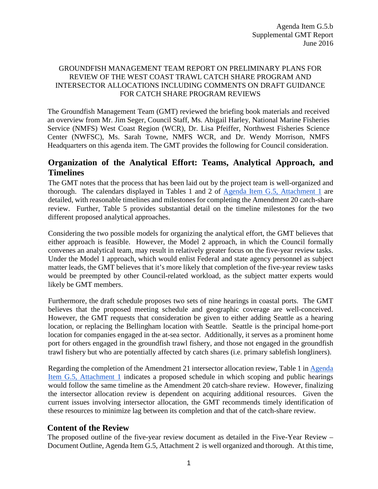## GROUNDFISH MANAGEMENT TEAM REPORT ON PRELIMINARY PLANS FOR REVIEW OF THE WEST COAST TRAWL CATCH SHARE PROGRAM AND INTERSECTOR ALLOCATIONS INCLUDING COMMENTS ON DRAFT GUIDANCE FOR CATCH SHARE PROGRAM REVIEWS

The Groundfish Management Team (GMT) reviewed the briefing book materials and received an overview from Mr. Jim Seger, Council Staff, Ms. Abigail Harley, National Marine Fisheries Service (NMFS) West Coast Region (WCR), Dr. Lisa Pfeiffer, Northwest Fisheries Science Center (NWFSC), Ms. Sarah Towne, NMFS WCR, and Dr. Wendy Morrison, NMFS Headquarters on this agenda item. The GMT provides the following for Council consideration.

## **Organization of the Analytical Effort: Teams, Analytical Approach, and Timelines**

The GMT notes that the process that has been laid out by the project team is well-organized and thorough. The calendars displayed in Tables 1 and 2 of Agenda [Item G.5, Attachment 1](http://www.pcouncil.org/wp-content/uploads/2016/06/G5_Att1_ReviewProcess_JUN2016BB.pdf) are detailed, with reasonable timelines and milestones for completing the Amendment 20 catch-share review. Further, Table 5 provides substantial detail on the timeline milestones for the two different proposed analytical approaches.

Considering the two possible models for organizing the analytical effort, the GMT believes that either approach is feasible. However, the Model 2 approach, in which the Council formally convenes an analytical team, may result in relatively greater focus on the five-year review tasks. Under the Model 1 approach, which would enlist Federal and state agency personnel as subject matter leads, the GMT believes that it's more likely that completion of the five-year review tasks would be preempted by other Council-related workload, as the subject matter experts would likely be GMT members.

Furthermore, the draft schedule proposes two sets of nine hearings in coastal ports. The GMT believes that the proposed meeting schedule and geographic coverage are well-conceived. However, the GMT requests that consideration be given to either adding Seattle as a hearing location, or replacing the Bellingham location with Seattle. Seattle is the principal home-port location for companies engaged in the at-sea sector. Additionally, it serves as a prominent home port for others engaged in the groundfish trawl fishery, and those not engaged in the groundfish trawl fishery but who are potentially affected by catch shares (i.e. primary sablefish longliners).

Regarding the completion of the Amendment 21 intersector allocation review, Table 1 i[n Agenda](http://www.pcouncil.org/wp-content/uploads/2016/06/G5_Att1_ReviewProcess_JUN2016BB.pdf) [Item G.5, Attachment 1](http://www.pcouncil.org/wp-content/uploads/2016/06/G5_Att1_ReviewProcess_JUN2016BB.pdf) indicates a proposed schedule in which scoping and public hearings would follow the same timeline as the Amendment 20 catch-share review. However, finalizing the intersector allocation review is dependent on acquiring additional resources. Given the current issues involving intersector allocation, the GMT recommends timely identification of these resources to minimize lag between its completion and that of the catch-share review.

## **Content of the Review**

The proposed outline of the five-year review document as detailed in the Five-Year Review – Document Outline, [Agenda](http://www.pcouncil.org/wp-content/uploads/2016/06/G5_Att2_ReviewOutLine_JUN2016BB.pdf) [Item](http://www.pcouncil.org/wp-content/uploads/2016/06/G5_Att2_ReviewOutLine_JUN2016BB.pdf) [G.5,](http://www.pcouncil.org/wp-content/uploads/2016/06/G5_Att2_ReviewOutLine_JUN2016BB.pdf) [Attachment](http://www.pcouncil.org/wp-content/uploads/2016/06/G5_Att2_ReviewOutLine_JUN2016BB.pdf) [2](http://www.pcouncil.org/wp-content/uploads/2016/06/G5_Att2_ReviewOutLine_JUN2016BB.pdf) is well organized and thorough. At this time,